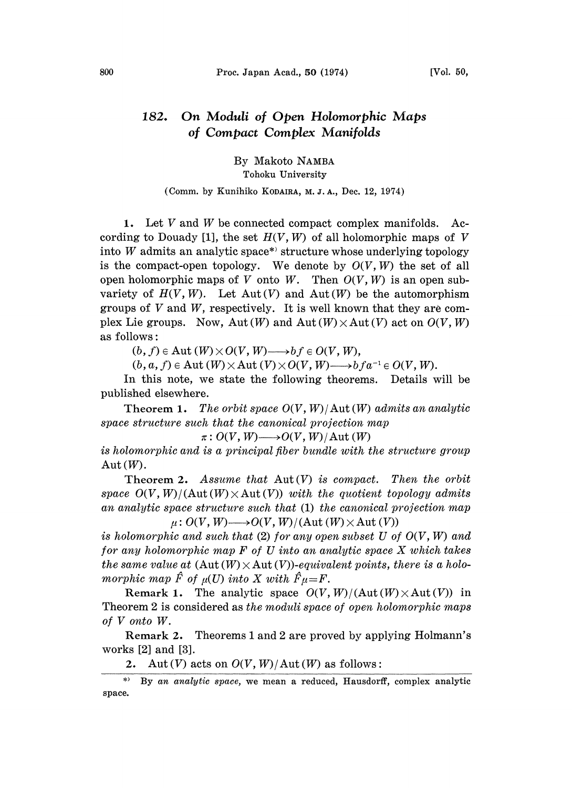## 182. On Moduli of Open Holomorphic Maps of Compact Complex Manifolds

By Makoto NAMBA

Tohoku University

## (Comm. by Kunihiko KODAIRA, M. J. A., Dec. 12, 1974)

1. Let V and W be connected compact complex manifolds. According to Douady [1], the set  $H(V, W)$  of all holomorphic maps of V into  $W$  admits an analytic space\* structure whose underlying topology is the compact-open topology. We denote by  $O(V, W)$  the set of all open holomorphic maps of V onto W. Then  $O(V, W)$  is an open subvariety of  $H(V, W)$ . Let  $Aut(V)$  and  $Aut(W)$  be the automorphism groups of  $V$  and  $W$ , respectively. It is well known that they are complex Lie groups. Now,  $Aut(W)$  and  $Aut(W) \times Aut(V)$  act on  $O(V, W)$ as follows:

 $(b, f) \in \text{Aut}(W) \times O(V, W) \longrightarrow bf \in O(V, W),$ 

 $(b, a, f) \in \text{Aut}(W) \times \text{Aut}(V) \times O(V, W) \longrightarrow bfa^{-1} \in O(V, W).$ 

 $(b, a, f) \in Aut(W) \times Aut(V) \times O(V, W) \longrightarrow bfa^{-1} \in O(V, W)$ .<br>In this note, we state the following theorems. Details will be published elsewhere.

Theorem 1. The orbit space  $O(V, W)/$  Aut  $(W)$  admits an analytic space structure such that the canonical projection map

 $\pi: O(V, W) \longrightarrow O(V, W)/$  Aut  $(W)$ 

is holomorphic and is a principal fiber bundle with the structure group Aut  $(W)$ .

Theorem 2. Assume that  $Aut(V)$  is compact. Then the orbit space  $O(V, W)/(Aut(W) \times Aut(V))$  with the quotient topology admits an analytic space structure such that (1) the canonical projection map  $\mu$ :  $O(V, W) \longrightarrow O(V, W)/(Aut(W) \times Aut(V))$ 

is holomorphic and such that  $(2)$  for any open subset U of  $O(V, W)$  and for any holomorphic map  $F$  of  $U$  into an analytic space  $X$  which takes the same value at  $(\text{Aut}(W) \times \text{Aut}(V))$ -equivalent points, there is a holomorphic map  $\hat{F}$  of  $\mu(U)$  into X with  $\hat{F}\mu=F$ .

Remark 1. The analytic space  $O(V, W)/(Aut(W) \times Aut(V))$  in Theorem 2 is considered as the moduli space of open holomorphic maps of V onto W.

Remark 2. Theorems <sup>1</sup> and 2 are proved by applying Holmann's works [2] and [3].

2. Aut  $(V)$  acts on  $O(V, W)/$  Aut  $(W)$  as follows:

<sup>\*&</sup>gt; By an analytic space, we mean a reduced, Hausdorff, complex analytic space.